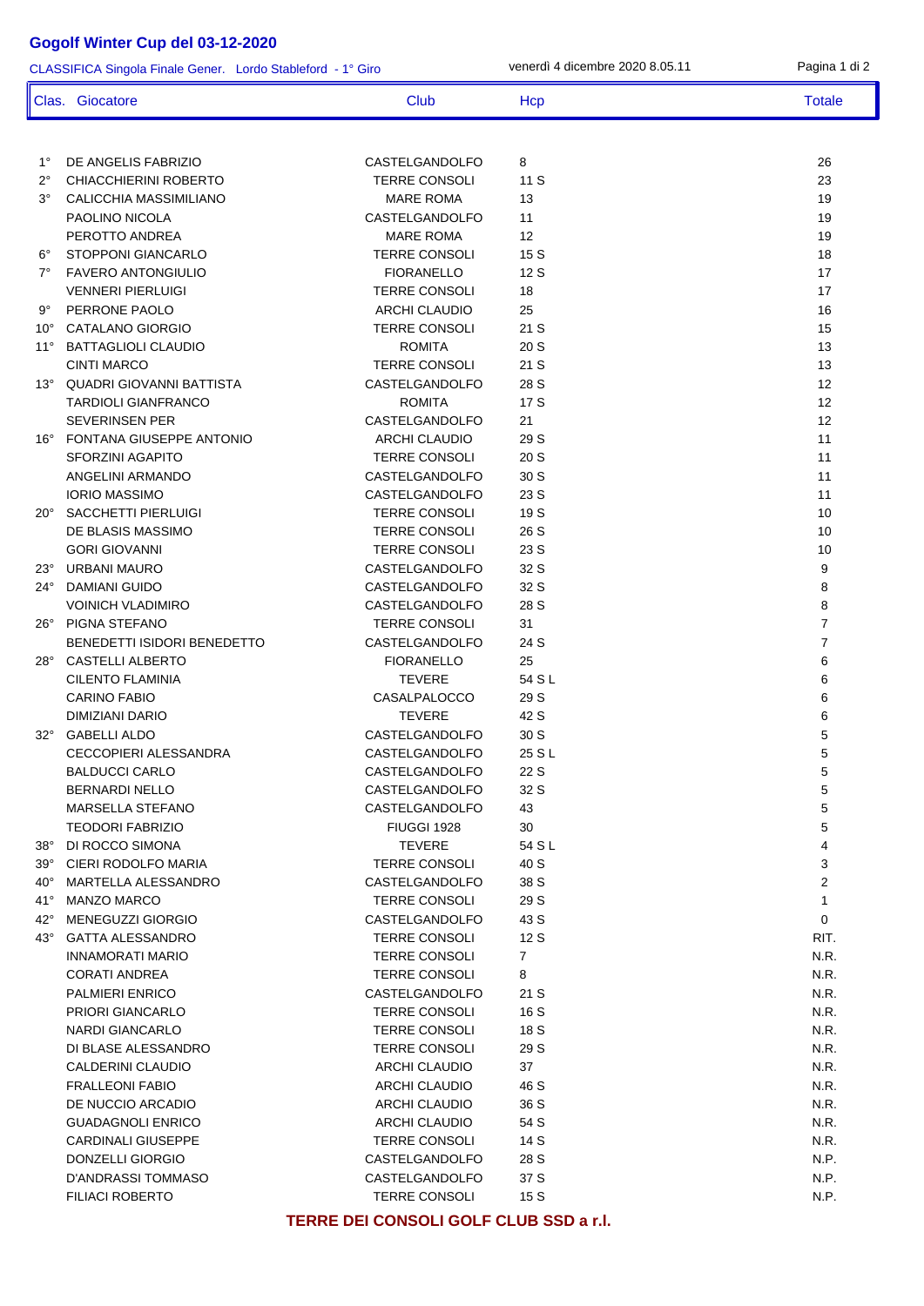## **Gogolf Winter Cup del 03-12-2020**

CLASSIFICA Singola Finale Gener. Lordo Stableford - 1° Giro

venerdì 4 dicembre 2020 8.05.11 Pagina 1 di 2

|                              | Clas. Giocatore                            | Club                                   | Hcp            | <b>Totale</b>                  |
|------------------------------|--------------------------------------------|----------------------------------------|----------------|--------------------------------|
|                              |                                            |                                        |                |                                |
| $1^{\circ}$                  | DE ANGELIS FABRIZIO                        | CASTELGANDOLFO                         | 8              | 26                             |
| $2^{\circ}$                  | CHIACCHIERINI ROBERTO                      | <b>TERRE CONSOLI</b>                   | 11S            | 23                             |
| $3^{\circ}$                  | CALICCHIA MASSIMILIANO                     | <b>MARE ROMA</b>                       | 13             | 19                             |
| $6^{\circ}$                  | PAOLINO NICOLA                             | CASTELGANDOLFO                         | 11             | 19                             |
|                              | PEROTTO ANDREA                             | <b>MARE ROMA</b>                       | 12             | 19                             |
|                              | STOPPONI GIANCARLO                         | <b>TERRE CONSOLI</b>                   | 15 S           | 18                             |
| $7^\circ$                    | <b>FAVERO ANTONGIULIO</b>                  | <b>FIORANELLO</b>                      | 12 S           | 17                             |
|                              | <b>VENNERI PIERLUIGI</b>                   | <b>TERRE CONSOLI</b>                   | 18             | 17                             |
| $9^{\circ}$                  | PERRONE PAOLO                              | <b>ARCHI CLAUDIO</b>                   | 25             | 16                             |
| $10^{\circ}$                 | CATALANO GIORGIO                           | <b>TERRE CONSOLI</b>                   | 21 S           | 15                             |
| $11^{\circ}$                 | <b>BATTAGLIOLI CLAUDIO</b>                 | <b>ROMITA</b>                          | 20 S           | 13                             |
|                              | <b>CINTI MARCO</b>                         | <b>TERRE CONSOLI</b>                   | 21 S           | 13                             |
| $13^\circ$                   | QUADRI GIOVANNI BATTISTA                   | CASTELGANDOLFO                         | 28 S           | 12                             |
|                              | TARDIOLI GIANFRANCO                        | <b>ROMITA</b>                          | 17 S           | $12 \overline{ }$              |
|                              | <b>SEVERINSEN PER</b>                      | CASTELGANDOLFO                         | 21             | 12                             |
| $16^{\circ}$                 | FONTANA GIUSEPPE ANTONIO                   | <b>ARCHI CLAUDIO</b>                   | 29 S           | 11                             |
|                              | <b>SFORZINI AGAPITO</b>                    | <b>TERRE CONSOLI</b>                   | 20 S           | 11                             |
|                              | ANGELINI ARMANDO                           | CASTELGANDOLFO                         | 30 S           | 11                             |
|                              | <b>IORIO MASSIMO</b>                       | CASTELGANDOLFO                         | 23 S           | 11                             |
| $20^{\circ}$                 | SACCHETTI PIERLUIGI                        | <b>TERRE CONSOLI</b>                   | 19 S           | 10                             |
|                              | DE BLASIS MASSIMO                          | <b>TERRE CONSOLI</b>                   | 26 S           | 10                             |
|                              | <b>GORI GIOVANNI</b>                       | <b>TERRE CONSOLI</b>                   | 23 S           | 10                             |
| $23^\circ$                   | URBANI MAURO                               | CASTELGANDOLFO                         | 32 S           | 9                              |
| $24^{\circ}$                 | DAMIANI GUIDO                              | CASTELGANDOLFO                         | 32 S           | 8                              |
|                              | <b>VOINICH VLADIMIRO</b>                   | CASTELGANDOLFO                         | 28 S           | 8                              |
| $26^{\circ}$                 | PIGNA STEFANO                              | <b>TERRE CONSOLI</b>                   | 31             | $\overline{7}$                 |
|                              | BENEDETTI ISIDORI BENEDETTO                | CASTELGANDOLFO                         | 24 S           | $\overline{7}$                 |
|                              | 28° CASTELLI ALBERTO                       | <b>FIORANELLO</b>                      | 25             | 6                              |
|                              | <b>CILENTO FLAMINIA</b>                    | <b>TEVERE</b>                          | 54 S L         | 6                              |
|                              | <b>CARINO FABIO</b>                        | <b>CASALPALOCCO</b>                    | 29 S           | 6                              |
|                              | DIMIZIANI DARIO                            | <b>TEVERE</b>                          | 42 S           | 6                              |
|                              | 32° GABELLI ALDO                           | CASTELGANDOLFO                         | 30 S           | 5                              |
|                              | <b>CECCOPIERI ALESSANDRA</b>               | CASTELGANDOLFO                         | 25 S L         | 5                              |
|                              | <b>BALDUCCI CARLO</b>                      | CASTELGANDOLFO                         | 22 S           | 5                              |
|                              | <b>BERNARDI NELLO</b>                      | CASTELGANDOLFO                         | 32 S           | 5                              |
|                              | MARSELLA STEFANO                           | CASTELGANDOLFO                         | 43             | 5                              |
|                              | <b>TEODORI FABRIZIO</b>                    | FIUGGI 1928                            | 30             | 5                              |
| $38^\circ$                   | DI ROCCO SIMONA                            | <b>TEVERE</b>                          | 54 S L         | 4                              |
| $39^{\circ}$<br>$40^{\circ}$ | CIERI RODOLFO MARIA<br>MARTELLA ALESSANDRO | <b>TERRE CONSOLI</b>                   | 40 S           | 3                              |
| $41^{\circ}$                 | <b>MANZO MARCO</b>                         | CASTELGANDOLFO<br><b>TERRE CONSOLI</b> | 38 S<br>29 S   | $\overline{2}$<br>$\mathbf{1}$ |
| 42°                          | MENEGUZZI GIORGIO                          | CASTELGANDOLFO                         | 43 S           | 0                              |
| $43^\circ$                   | <b>GATTA ALESSANDRO</b>                    | <b>TERRE CONSOLI</b>                   | 12S            | RIT.                           |
|                              | INNAMORATI MARIO                           | <b>TERRE CONSOLI</b>                   | $\overline{7}$ | N.R.                           |
|                              | <b>CORATI ANDREA</b>                       | <b>TERRE CONSOLI</b>                   | 8              | N.R.                           |
|                              | PALMIERI ENRICO                            | CASTELGANDOLFO                         | 21 S           | N.R.                           |
|                              | PRIORI GIANCARLO                           | <b>TERRE CONSOLI</b>                   | 16 S           | N.R.                           |
|                              | <b>NARDI GIANCARLO</b>                     | <b>TERRE CONSOLI</b>                   | 18 S           | N.R.                           |
|                              | DI BLASE ALESSANDRO                        | <b>TERRE CONSOLI</b>                   | 29 S           | N.R.                           |
|                              | CALDERINI CLAUDIO                          | <b>ARCHI CLAUDIO</b>                   | 37             | N.R.                           |
|                              | <b>FRALLEONI FABIO</b>                     | <b>ARCHI CLAUDIO</b>                   | 46 S           | N.R.                           |
|                              | DE NUCCIO ARCADIO                          | ARCHI CLAUDIO                          | 36 S           | N.R.                           |
|                              | <b>GUADAGNOLI ENRICO</b>                   | ARCHI CLAUDIO                          | 54 S           | N.R.                           |
|                              | <b>CARDINALI GIUSEPPE</b>                  | <b>TERRE CONSOLI</b>                   | 14 S           | N.R.                           |
|                              | DONZELLI GIORGIO                           | CASTELGANDOLFO                         | 28 S           | N.P.                           |
|                              | D'ANDRASSI TOMMASO                         | CASTELGANDOLFO                         | 37 S           | N.P.                           |
|                              | <b>FILIACI ROBERTO</b>                     | <b>TERRE CONSOLI</b>                   | 15S            | N.P.                           |
|                              |                                            |                                        |                |                                |

**TERRE DEI CONSOLI GOLF CLUB SSD a r.l.**